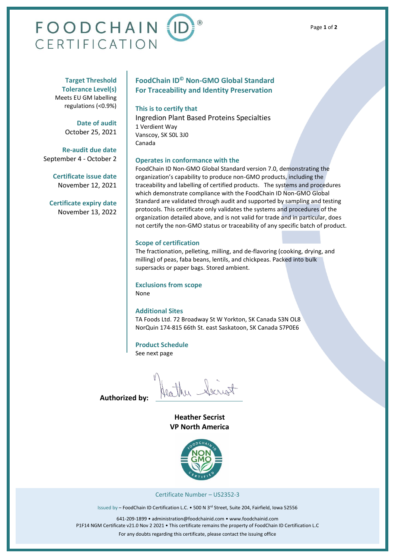# **FOODCHAIN ID** CERTIFICATION

**Target Threshold Tolerance Level(s)** Meets EU GM labelling regulations (<0.9%)

> **Date of audit** October 25, 2021

**Re-audit due date** September 4 - October 2

> **Certificate issue date** November 12, 2021

**Certificate expiry date** November 13, 2022

## **FoodChain ID© Non-GMO Global Standard For Traceability and Identity Preservation**

#### **This is to certify that**

Ingredion Plant Based Proteins Specialties 1 Verdient Way Vanscoy, SK S0L 3J0 Canada

### **Operates in conformance with the**

FoodChain ID Non-GMO Global Standard version 7.0, demonstrating the organization's capability to produce non-GMO products, including the traceability and labelling of certified products. The systems and procedures which demonstrate compliance with the FoodChain ID Non-GMO Global Standard are validated through audit and supported by sampling and testing protocols. This certificate only validates the systems and procedures of the organization detailed above, and is not valid for trade and in particular, does not certify the non-GMO status or traceability of any specific batch of product.

#### **Scope of certification**

The fractionation, pelleting, milling, and de-flavoring (cooking, drying, and milling) of peas, faba beans, lentils, and chickpeas. Packed into bulk supersacks or paper bags. Stored ambient.

#### **Exclusions from scope**

None

#### **Additional Sites**

TA Foods Ltd. 72 Broadway St W Yorkton, SK Canada S3N OL8 NorQuin 174-815 66th St. east Saskatoon, SK Canada S7P0E6

#### **Product Schedule**

See next page

Haither Secret

**Authorized by:**

**Heather Secrist VP North America**



Certificate Number – US2352-3

Issued by - FoodChain ID Certification L.C. • 500 N 3rd Street, Suite 204, Fairfield, Iowa 52556

641-209-1899 • administration@foodchainid.com • [www.foodchainid.com](http://www.foodchainid.com/) P1F14 NGM Certificate v21.0 Nov 2 2021 • This certificate remains the property of FoodChain ID Certification L.C For any doubts regarding this certificate, please contact the issuing office